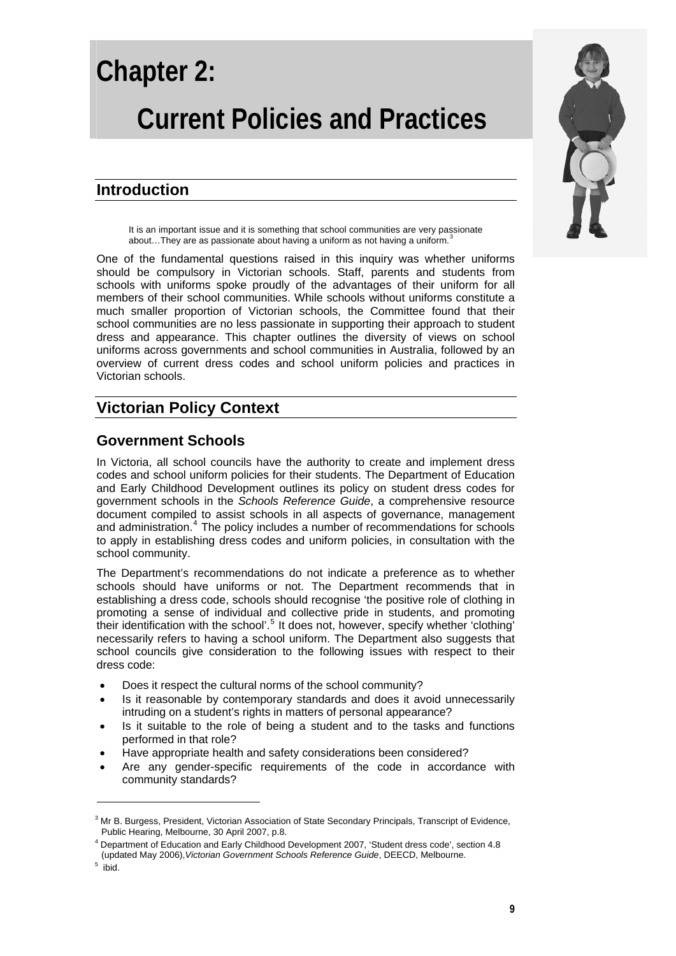# **Chapter 2:**

# **Current Policies and Practices**

# **Introduction**

It is an important issue and it is something that school communities are very passionate about...They are as passionate about having a uniform as not having a uniform.<sup>[3](#page-0-0)</sup>

One of the fundamental questions raised in this inquiry was whether uniforms should be compulsory in Victorian schools. Staff, parents and students from schools with uniforms spoke proudly of the advantages of their uniform for all members of their school communities. While schools without uniforms constitute a much smaller proportion of Victorian schools, the Committee found that their school communities are no less passionate in supporting their approach to student dress and appearance. This chapter outlines the diversity of views on school uniforms across governments and school communities in Australia, followed by an overview of current dress codes and school uniform policies and practices in Victorian schools.

# **Victorian Policy Context**

# **Government Schools**

In Victoria, all school councils have the authority to create and implement dress codes and school uniform policies for their students. The Department of Education and Early Childhood Development outlines its policy on student dress codes for government schools in the *Schools Reference Guide*, a comprehensive resource document compiled to assist schools in all aspects of governance, management and administration.<sup>[4](#page-0-1)</sup> The policy includes a number of recommendations for schools to apply in establishing dress codes and uniform policies, in consultation with the school community.

The Department's recommendations do not indicate a preference as to whether schools should have uniforms or not. The Department recommends that in establishing a dress code, schools should recognise 'the positive role of clothing in promoting a sense of individual and collective pride in students, and promoting their identification with the school'.<sup>[5](#page-0-2)</sup> It does not, however, specify whether 'clothing' necessarily refers to having a school uniform. The Department also suggests that school councils give consideration to the following issues with respect to their dress code:

- Does it respect the cultural norms of the school community?
- Is it reasonable by contemporary standards and does it avoid unnecessarily intruding on a student's rights in matters of personal appearance?
- Is it suitable to the role of being a student and to the tasks and functions performed in that role?
- Have appropriate health and safety considerations been considered?
- Are any gender-specific requirements of the code in accordance with community standards?



<span id="page-0-0"></span><sup>&</sup>lt;sup>3</sup> Mr B. Burgess, President, Victorian Association of State Secondary Principals, Transcript of Evidence, Public Hearing, Melbourne, 30 April 2007, p.8.

<span id="page-0-1"></span><sup>&</sup>lt;sup>4</sup> Department of Education and Early Childhood Development 2007, 'Student dress code', section 4.8 (updated May 2006),*Victorian Government Schools Reference Guide*, DEECD, Melbourne. 5

<span id="page-0-2"></span>ibid.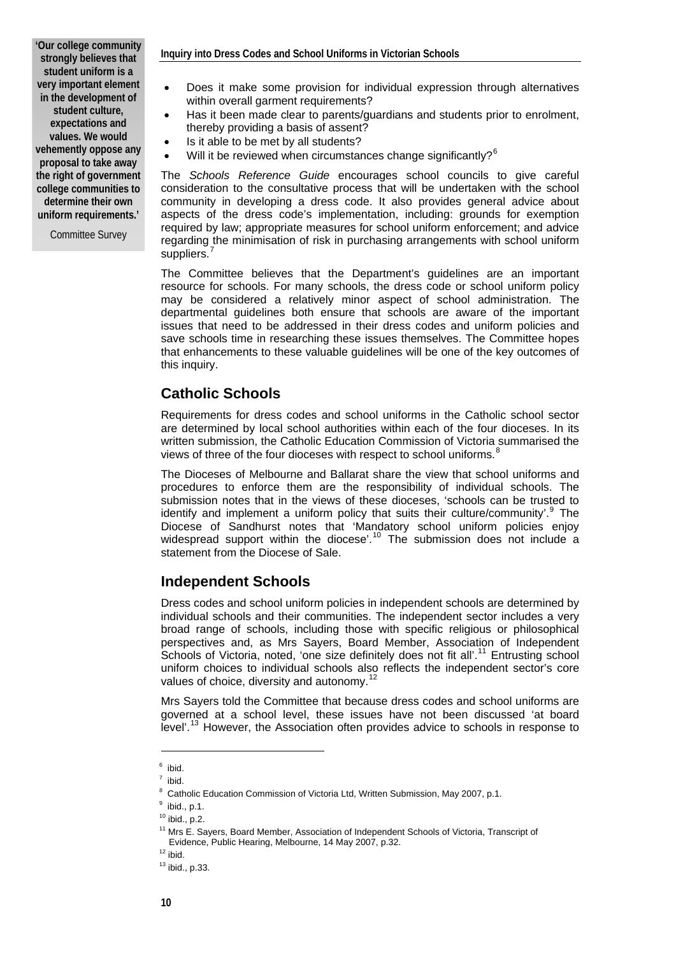**'Our college community strongly believes that student uniform is a very important element in the development of student culture, expectations and values. We would vehemently oppose any proposal to take away the right of government college communities to determine their own uniform requirements.'** 

Committee Survey

- Does it make some provision for individual expression through alternatives within overall garment requirements?
- Has it been made clear to parents/guardians and students prior to enrolment, thereby providing a basis of assent?
- Is it able to be met by all students?
- Will it be reviewed when circumstances change significantly?<sup>[6](#page-1-0)</sup>

The *Schools Reference Guide* encourages school councils to give careful consideration to the consultative process that will be undertaken with the school community in developing a dress code. It also provides general advice about aspects of the dress code's implementation, including: grounds for exemption required by law; appropriate measures for school uniform enforcement; and advice regarding the minimisation of risk in purchasing arrangements with school uniform suppliers.<sup>[7](#page-1-1)</sup>

The Committee believes that the Department's guidelines are an important resource for schools. For many schools, the dress code or school uniform policy may be considered a relatively minor aspect of school administration. The departmental guidelines both ensure that schools are aware of the important issues that need to be addressed in their dress codes and uniform policies and save schools time in researching these issues themselves. The Committee hopes that enhancements to these valuable guidelines will be one of the key outcomes of this inquiry.

## **Catholic Schools**

Requirements for dress codes and school uniforms in the Catholic school sector are determined by local school authorities within each of the four dioceses. In its written submission, the Catholic Education Commission of Victoria summarised the views of three of the four dioceses with respect to school uniforms. $8$ 

The Dioceses of Melbourne and Ballarat share the view that school uniforms and procedures to enforce them are the responsibility of individual schools. The submission notes that in the views of these dioceses, 'schools can be trusted to identify and implement a uniform policy that suits their culture/community'.<sup>[9](#page-1-3)</sup> The Diocese of Sandhurst notes that 'Mandatory school uniform policies enjoy widespread support within the diocese'.<sup>[10](#page-1-4)</sup> The submission does not include a statement from the Diocese of Sale.

## **Independent Schools**

Dress codes and school uniform policies in independent schools are determined by individual schools and their communities. The independent sector includes a very broad range of schools, including those with specific religious or philosophical perspectives and, as Mrs Sayers, Board Member, Association of Independent Schools of Victoria, noted, 'one size definitely does not fit all'.<sup>[11](#page-1-5)</sup> Entrusting school uniform choices to individual schools also reflects the independent sector's core values of choice, diversity and autonomy.<sup>[12](#page-1-6)</sup>

Mrs Sayers told the Committee that because dress codes and school uniforms are governed at a school level, these issues have not been discussed 'at board level'.[13](#page-1-7) However, the Association often provides advice to schools in response to

<span id="page-1-0"></span> $^6$  ibid.

 $<sup>7</sup>$  ibid.</sup>

<sup>&</sup>lt;sup>8</sup> Catholic Education Commission of Victoria Ltd, Written Submission, May 2007, p.1.<br><sup>9</sup> ibid n.1

<span id="page-1-3"></span><span id="page-1-2"></span><span id="page-1-1"></span> $9$  ibid., p.1.

<span id="page-1-4"></span> $10$  ibid., p.2.

<sup>&</sup>lt;sup>11</sup> Mrs E. Sayers, Board Member, Association of Independent Schools of Victoria, Transcript of Evidence, Public Hearing, Melbourne, 14 May 2007, p.32. 12 ibid.

<span id="page-1-7"></span><span id="page-1-6"></span><span id="page-1-5"></span>

 $13$  ibid., p.33.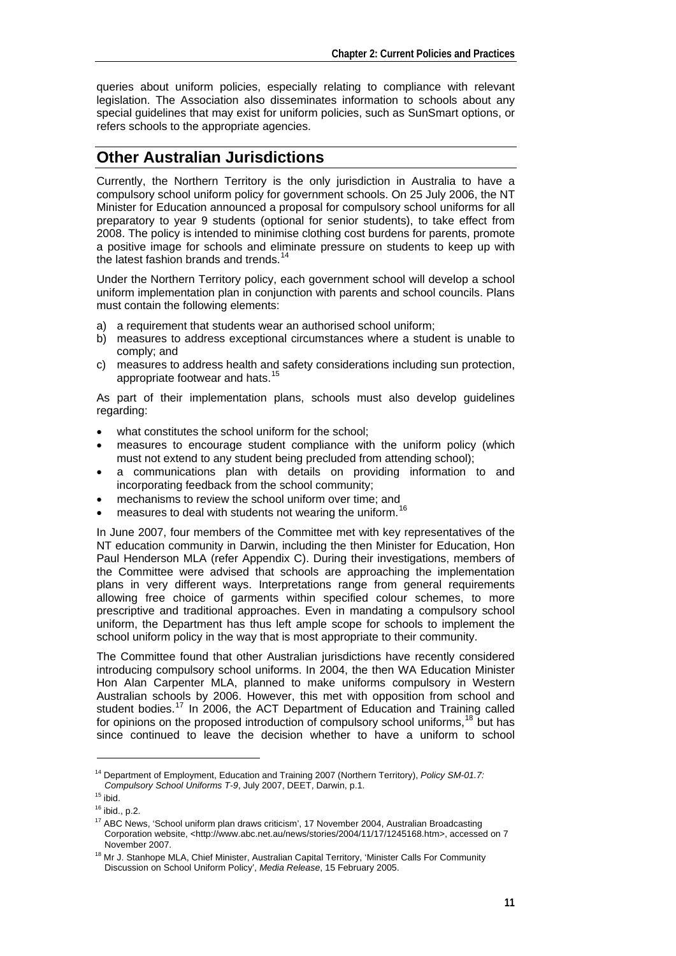queries about uniform policies, especially relating to compliance with relevant legislation. The Association also disseminates information to schools about any special guidelines that may exist for uniform policies, such as SunSmart options, or refers schools to the appropriate agencies.

# **Other Australian Jurisdictions**

Currently, the Northern Territory is the only jurisdiction in Australia to have a compulsory school uniform policy for government schools. On 25 July 2006, the NT Minister for Education announced a proposal for compulsory school uniforms for all preparatory to year 9 students (optional for senior students), to take effect from 2008. The policy is intended to minimise clothing cost burdens for parents, promote a positive image for schools and eliminate pressure on students to keep up with the latest fashion brands and trends.<sup>[14](#page-2-0)</sup>

Under the Northern Territory policy, each government school will develop a school uniform implementation plan in conjunction with parents and school councils. Plans must contain the following elements:

- a) a requirement that students wear an authorised school uniform;
- b) measures to address exceptional circumstances where a student is unable to comply; and
- c) measures to address health and safety considerations including sun protection, appropriate footwear and hats.<sup>[15](#page-2-1)</sup>

As part of their implementation plans, schools must also develop guidelines regarding:

- what constitutes the school uniform for the school:
- measures to encourage student compliance with the uniform policy (which must not extend to any student being precluded from attending school);
- a communications plan with details on providing information to and incorporating feedback from the school community;
- mechanisms to review the school uniform over time; and
- measures to deal with students not wearing the uniform.<sup>[16](#page-2-2)</sup>

In June 2007, four members of the Committee met with key representatives of the NT education community in Darwin, including the then Minister for Education, Hon Paul Henderson MLA (refer Appendix C). During their investigations, members of the Committee were advised that schools are approaching the implementation plans in very different ways. Interpretations range from general requirements allowing free choice of garments within specified colour schemes, to more prescriptive and traditional approaches. Even in mandating a compulsory school uniform, the Department has thus left ample scope for schools to implement the school uniform policy in the way that is most appropriate to their community.

The Committee found that other Australian jurisdictions have recently considered introducing compulsory school uniforms. In 2004, the then WA Education Minister Hon Alan Carpenter MLA, planned to make uniforms compulsory in Western Australian schools by 2006. However, this met with opposition from school and student bodies.<sup>[17](#page-2-3)</sup> In 2006, the ACT Department of Education and Training called for opinions on the proposed introduction of compulsory school uniforms,<sup>[18](#page-2-4)</sup> but has since continued to leave the decision whether to have a uniform to school

<span id="page-2-0"></span><sup>14</sup> Department of Employment, Education and Training 2007 (Northern Territory), *Policy SM-01.7: Compulsory School Uniforms T-9*, July 2007, DEET, Darwin, p.1. 15 ibid.

<span id="page-2-2"></span><span id="page-2-1"></span> $16$  ibid., p.2.

<span id="page-2-3"></span><sup>&</sup>lt;sup>17</sup> ABC News, 'School uniform plan draws criticism', 17 November 2004, Australian Broadcasting Corporation website, <http://www.abc.net.au/news/stories/2004/11/17/1245168.htm>, accessed on 7 November 2007.

<span id="page-2-4"></span><sup>&</sup>lt;sup>18</sup> Mr J. Stanhope MLA, Chief Minister, Australian Capital Territory, 'Minister Calls For Community Discussion on School Uniform Policy', *Media Release*, 15 February 2005.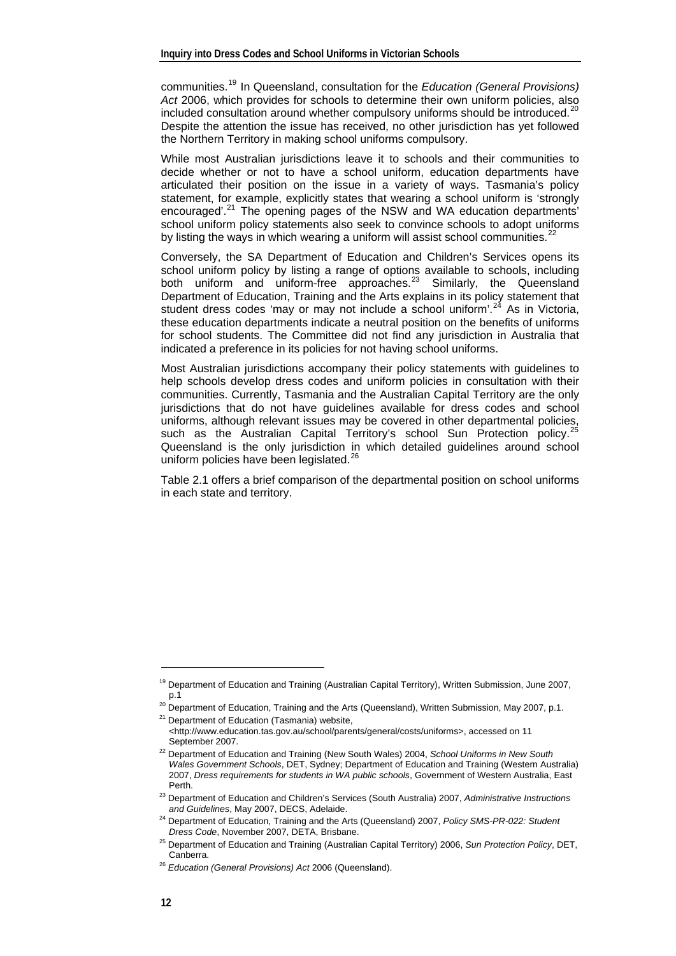communities.[19](#page-3-0) In Queensland, consultation for the *Education (General Provisions) Act* 2006, which provides for schools to determine their own uniform policies, also included consultation around whether compulsory uniforms should be introduced.<sup>[20](#page-3-1)</sup> Despite the attention the issue has received, no other jurisdiction has yet followed the Northern Territory in making school uniforms compulsory.

While most Australian jurisdictions leave it to schools and their communities to decide whether or not to have a school uniform, education departments have articulated their position on the issue in a variety of ways. Tasmania's policy statement, for example, explicitly states that wearing a school uniform is 'strongly encouraged'.<sup>[21](#page-3-2)</sup> The opening pages of the NSW and WA education departments' school uniform policy statements also seek to convince schools to adopt uniforms by listing the ways in which wearing a uniform will assist school communities.<sup>[22](#page-3-3)</sup>

Conversely, the SA Department of Education and Children's Services opens its school uniform policy by listing a range of options available to schools, including both uniform and uniform-free approaches. $2^3$  Similarly, the Queensland Department of Education, Training and the Arts explains in its policy statement that student dress codes 'may or may not include a school uniform'.<sup>[24](#page-3-5)</sup> As in Victoria, these education departments indicate a neutral position on the benefits of uniforms for school students. The Committee did not find any jurisdiction in Australia that indicated a preference in its policies for not having school uniforms.

Most Australian jurisdictions accompany their policy statements with guidelines to help schools develop dress codes and uniform policies in consultation with their communities. Currently, Tasmania and the Australian Capital Territory are the only jurisdictions that do not have guidelines available for dress codes and school uniforms, although relevant issues may be covered in other departmental policies, such as the Australian Capital Territory's school Sun Protection policy.<sup>2</sup> Queensland is the only jurisdiction in which detailed guidelines around school uniform policies have been legislated. $^{26}$  $^{26}$  $^{26}$ 

Table 2.1 offers a brief comparison of the departmental position on school uniforms in each state and territory.

<span id="page-3-0"></span><sup>&</sup>lt;sup>19</sup> Department of Education and Training (Australian Capital Territory), Written Submission, June 2007,<br>1.1

<span id="page-3-2"></span><span id="page-3-1"></span><sup>&</sup>lt;sup>20</sup> Department of Education, Training and the Arts (Queensland), Written Submission, May 2007, p.1. <sup>21</sup> Department of Education (Tasmania) website,

<sup>&</sup>lt;[http://www.education.tas.gov.au/school/parents/general/costs/uniforms>](http://www.education.tas.gov.au/school/parents/general/costs/uniforms), accessed on 11

<span id="page-3-3"></span>September 2007. 22 Department of Education and Training (New South Wales) 2004, *School Uniforms in New South Wales Government Schools*, DET, Sydney; Department of Education and Training (Western Australia) 2007, *Dress requirements for students in WA public schools*, Government of Western Australia, East

Perth. 23 Department of Education and Children's Services (South Australia) 2007, *Administrative Instructions* 

<span id="page-3-5"></span><span id="page-3-4"></span>*and Guidelines*, May 2007, DECS, Adelaide. 24 Department of Education, Training and the Arts (Queensland) 2007, *Policy SMS-PR-022: Student* 

<span id="page-3-6"></span><sup>&</sup>lt;sup>25</sup> Department of Education and Training (Australian Capital Territory) 2006, *Sun Protection Policy*, DET, Canberra. 26 *Education (General Provisions) Act* 2006 (Queensland).

<span id="page-3-7"></span>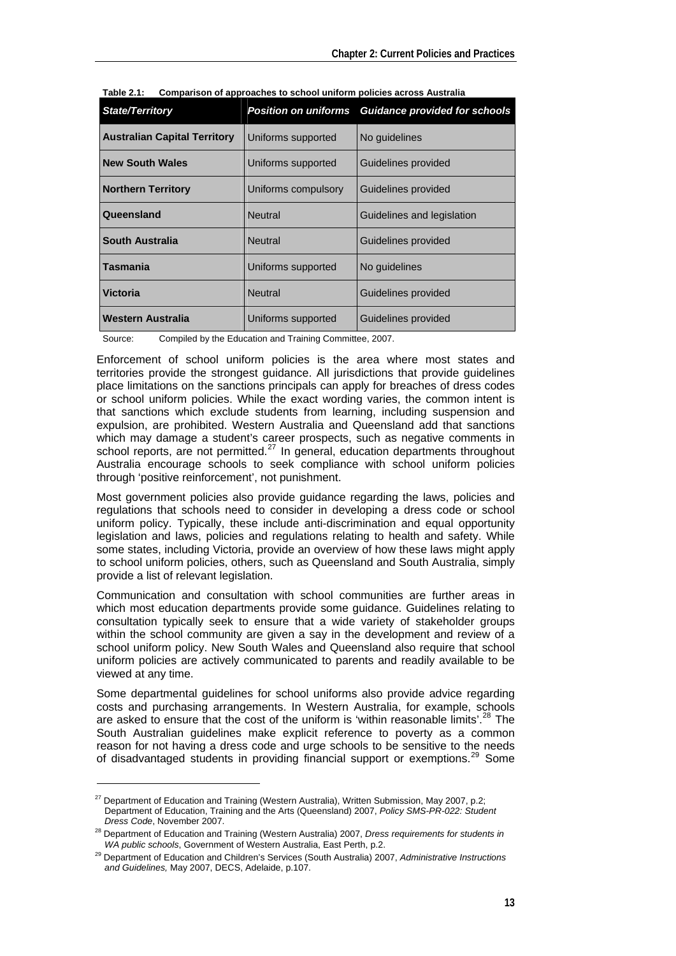| <b>State/Territory</b>              | <b>Position on uniforms</b>         | <b>Guidance provided for schools</b> |  |
|-------------------------------------|-------------------------------------|--------------------------------------|--|
| <b>Australian Capital Territory</b> | No guidelines<br>Uniforms supported |                                      |  |
| <b>New South Wales</b>              | Uniforms supported                  | Guidelines provided                  |  |
| <b>Northern Territory</b>           | Uniforms compulsory                 | Guidelines provided                  |  |
| Queensland                          | <b>Neutral</b>                      | Guidelines and legislation           |  |
| South Australia                     | <b>Neutral</b>                      | Guidelines provided                  |  |
| Tasmania                            | Uniforms supported                  | No quidelines                        |  |
| <b>Victoria</b>                     | <b>Neutral</b>                      | Guidelines provided                  |  |
| Western Australia                   | Uniforms supported                  | Guidelines provided                  |  |

**Table 2.1: Comparison of approaches to school uniform policies across Australia** 

Source: Compiled by the Education and Training Committee, 2007.

Enforcement of school uniform policies is the area where most states and territories provide the strongest guidance. All jurisdictions that provide guidelines place limitations on the sanctions principals can apply for breaches of dress codes or school uniform policies. While the exact wording varies, the common intent is that sanctions which exclude students from learning, including suspension and expulsion, are prohibited. Western Australia and Queensland add that sanctions which may damage a student's career prospects, such as negative comments in school reports, are not permitted.<sup>[27](#page-4-0)</sup> In general, education departments throughout Australia encourage schools to seek compliance with school uniform policies through 'positive reinforcement', not punishment.

Most government policies also provide guidance regarding the laws, policies and regulations that schools need to consider in developing a dress code or school uniform policy. Typically, these include anti-discrimination and equal opportunity legislation and laws, policies and regulations relating to health and safety. While some states, including Victoria, provide an overview of how these laws might apply to school uniform policies, others, such as Queensland and South Australia, simply provide a list of relevant legislation.

Communication and consultation with school communities are further areas in which most education departments provide some guidance. Guidelines relating to consultation typically seek to ensure that a wide variety of stakeholder groups within the school community are given a say in the development and review of a school uniform policy. New South Wales and Queensland also require that school uniform policies are actively communicated to parents and readily available to be viewed at any time.

Some departmental guidelines for school uniforms also provide advice regarding costs and purchasing arrangements. In Western Australia, for example, schools are asked to ensure that the cost of the uniform is 'within reasonable limits'.<sup>[28](#page-4-1)</sup> The South Australian guidelines make explicit reference to poverty as a common reason for not having a dress code and urge schools to be sensitive to the needs<br>of disadvantaged students in providing financial support or exemptions.<sup>29</sup> Some of disadvantaged students in providing financial support or exemptions.<sup>21</sup>

<span id="page-4-0"></span> $27$  Department of Education and Training (Western Australia), Written Submission, May 2007, p.2; Department of Education, Training and the Arts (Queensland) 2007, *Policy SMS-PR-022: Student* 

<span id="page-4-1"></span>*Dress Code*, November 2007.<br><sup>28</sup> Department of Education and Training (Western Australia) 2007, *Dress requirements for students in WA public schools*, Government of Western Australia, East Perth, p.2.

<span id="page-4-2"></span><sup>&</sup>lt;sup>29</sup> Department of Education and Children's Services (South Australia) 2007, *Administrative Instructions and Guidelines,* May 2007, DECS, Adelaide, p.107.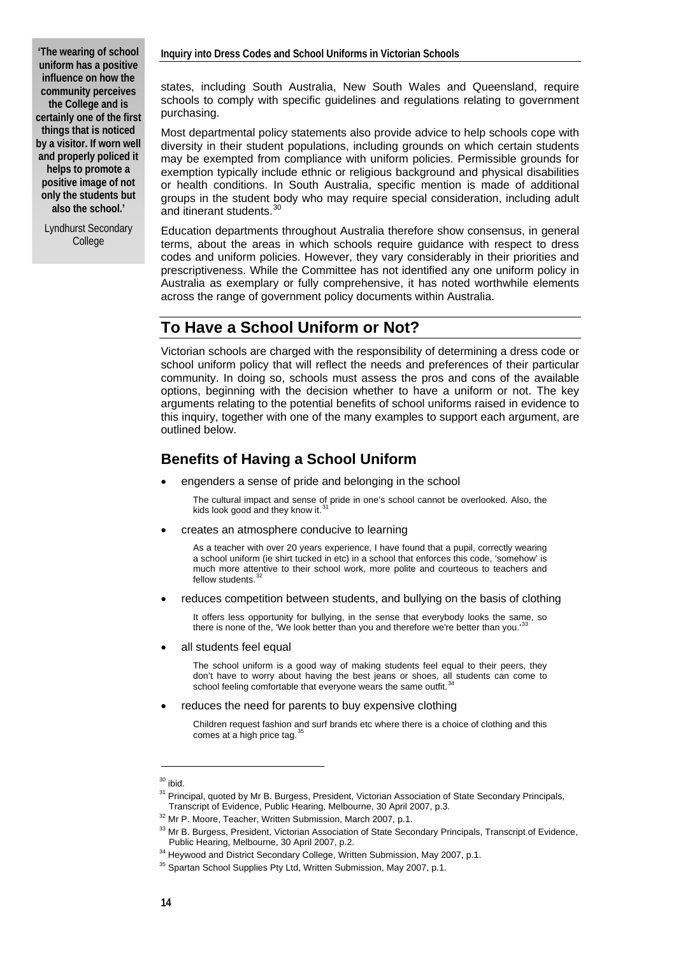**'The wearing of school uniform has a positive influence on how the community perceives the College and is certainly one of the first things that is noticed by a visitor. If worn well and properly policed it helps to promote a positive image of not only the students but also the school.'** 

Lyndhurst Secondary College

states, including South Australia, New South Wales and Queensland, require schools to comply with specific guidelines and regulations relating to government purchasing.

Most departmental policy statements also provide advice to help schools cope with diversity in their student populations, including grounds on which certain students may be exempted from compliance with uniform policies. Permissible grounds for exemption typically include ethnic or religious background and physical disabilities or health conditions. In South Australia, specific mention is made of additional groups in the student body who may require special consideration, including adult and itinerant students.

Education departments throughout Australia therefore show consensus, in general terms, about the areas in which schools require guidance with respect to dress codes and uniform policies. However, they vary considerably in their priorities and prescriptiveness. While the Committee has not identified any one uniform policy in Australia as exemplary or fully comprehensive, it has noted worthwhile elements across the range of government policy documents within Australia.

# **To Have a School Uniform or Not?**

Victorian schools are charged with the responsibility of determining a dress code or school uniform policy that will reflect the needs and preferences of their particular community. In doing so, schools must assess the pros and cons of the available options, beginning with the decision whether to have a uniform or not. The key arguments relating to the potential benefits of school uniforms raised in evidence to this inquiry, together with one of the many examples to support each argument, are outlined below.

# **Benefits of Having a School Uniform**

engenders a sense of pride and belonging in the school

The cultural impact and sense of pride in one's school cannot be overlooked. Also, the kids look good and they know it. $31$ 

• creates an atmosphere conducive to learning

As a teacher with over 20 years experience, I have found that a pupil, correctly wearing a school uniform (ie shirt tucked in etc) in a school that enforces this code, 'somehow' is much more attentive to their school work, more polite and courteous to teachers and<br>fellow students.<sup>[32](#page-5-2)</sup>

• reduces competition between students, and bullying on the basis of clothing

It offers less opportunity for bullying, in the sense that everybody looks the same, so there is none of the, 'We look better than you and therefore we're better than you.<sup>13</sup>

all students feel equal

The school uniform is a good way of making students feel equal to their peers, they don't have to worry about having the best jeans or shoes, all students can come to school feeling comfortable that everyone wears the same outfit.<sup>[34](#page-5-4)</sup>

reduces the need for parents to buy expensive clothing

Children request fashion and surf brands etc where there is a choice of clothing and this comes at a high price tag. $\frac{3}{5}$ 

<span id="page-5-0"></span> $30$  ibid.

<span id="page-5-1"></span> $31$  Principal, quoted by Mr B. Burgess, President, Victorian Association of State Secondary Principals,<br>Transcript of Evidence, Public Hearing, Melbourne, 30 April 2007, p.3.

<span id="page-5-2"></span><sup>&</sup>lt;sup>32</sup> Mr P. Moore, Teacher, Written Submission, March 2007, p.1.

<span id="page-5-3"></span><sup>&</sup>lt;sup>33</sup> Mr B. Burgess, President, Victorian Association of State Secondary Principals, Transcript of Evidence,<br>Public Hearing, Melbourne, 30 April 2007, p.2.

<span id="page-5-5"></span><span id="page-5-4"></span><sup>&</sup>lt;sup>34</sup> Heywood and District Secondary College, Written Submission, May 2007, p.1.  $1.35$  Spartan School Supplies Pty Ltd, Written Submission, May 2007, p.1.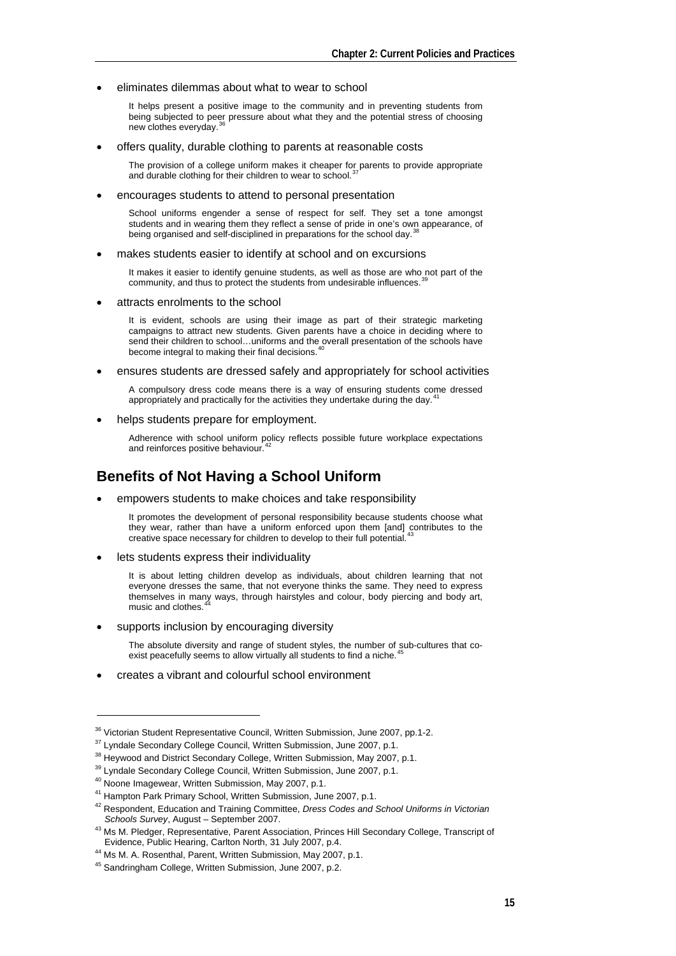#### • eliminates dilemmas about what to wear to school

It helps present a positive image to the community and in preventing students from being subjected to peer pressure about what they and the potential stress of choosing new clothes everyday.

• offers quality, durable clothing to parents at reasonable costs

The provision of a college uniform makes it cheaper for parents to provide appropriate and durable clothing for their children to wear to school.<sup>3</sup>

#### • encourages students to attend to personal presentation

School uniforms engender a sense of respect for self. They set a tone amongst students and in wearing them they reflect a sense of pride in one's own appearance, of being organised and self-disciplined in preparations for the school day.<sup>3</sup>

makes students easier to identify at school and on excursions

It makes it easier to identify genuine students, as well as those are who not part of the community, and thus to protect the students from undesirable influences.

• attracts enrolments to the school

It is evident, schools are using their image as part of their strategic marketing campaigns to attract new students. Given parents have a choice in deciding where to send their children to school…uniforms and the overall presentation of the schools have become integral to making their final decisions.<sup>4</sup>

• ensures students are dressed safely and appropriately for school activities

A compulsory dress code means there is a way of ensuring students come dressed appropriately and practically for the activities they undertake during the day.<sup>4</sup>

helps students prepare for employment.

Adherence with school uniform policy reflects possible future workplace expectations and reinforces positive behaviour.

## **Benefits of Not Having a School Uniform**

• empowers students to make choices and take responsibility

It promotes the development of personal responsibility because students choose what they wear, rather than have a uniform enforced upon them [and] contributes to the creative space necessary for children to develop to their full potential.

lets students express their individuality

It is about letting children develop as individuals, about children learning that not everyone dresses the same, that not everyone thinks the same. They need to express themselves in many ways, through hairstyles and colour, body piercing and body art, music and clothes.

supports inclusion by encouraging diversity

The absolute diversity and range of student styles, the number of sub-cultures that coexist peacefully seems to allow virtually all students to find a niche.

• creates a vibrant and colourful school environment

<span id="page-6-3"></span>

<span id="page-6-0"></span><sup>&</sup>lt;sup>36</sup> Victorian Student Representative Council, Written Submission, June 2007, pp.1-2.<br><sup>37</sup> Lyndale Secondary College Council, Written Submission, June 2007, p.1.<br><sup>38</sup> Heywood and District Secondary College, Written Submis

<span id="page-6-1"></span>

<span id="page-6-2"></span>

<span id="page-6-6"></span><span id="page-6-5"></span><span id="page-6-4"></span><sup>&</sup>lt;sup>41</sup> Hampton Park Primary School, Written Submission, June 2007, p.1.<br><sup>42</sup> Respondent, Education and Training Committee, *Dress Codes and School Uniforms in Victorian*<br>*Schools Survey*, August – September 2007.

<span id="page-6-7"></span><sup>&</sup>lt;sup>43</sup> Ms M. Pledger, Representative, Parent Association, Princes Hill Secondary College, Transcript of Evidence, Public Hearing, Carlton North, 31 July 2007, p.4.

<sup>&</sup>lt;sup>44</sup> Ms M. A. Rosenthal, Parent, Written Submission, May 2007, p.1.

<span id="page-6-9"></span><span id="page-6-8"></span><sup>45</sup> Sandringham College, Written Submission, June 2007, p.2.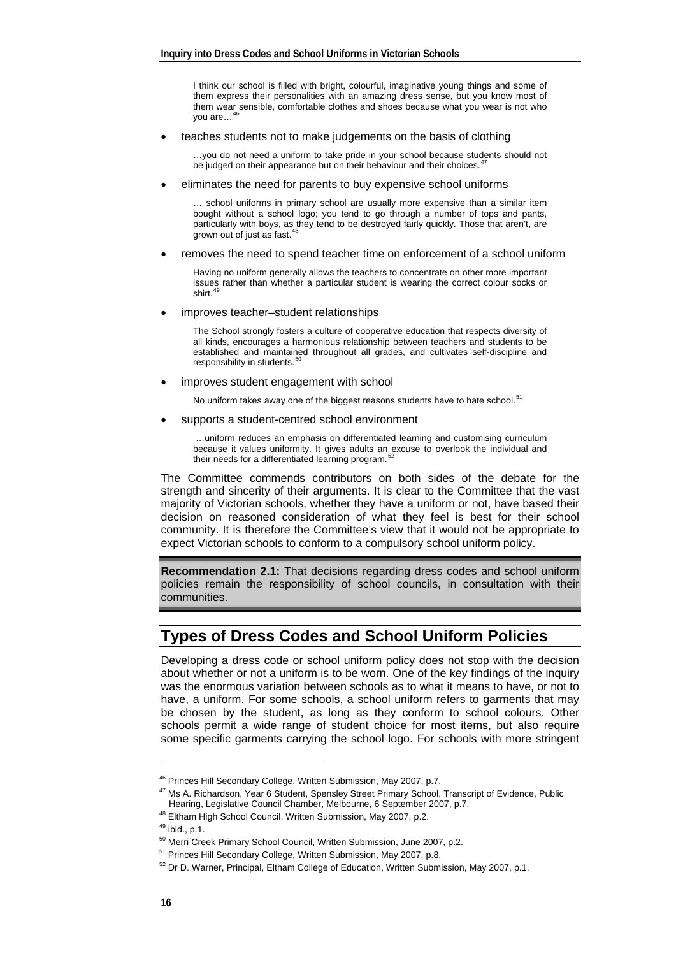I think our school is filled with bright, colourful, imaginative young things and some of them express their personalities with an amazing dress sense, but you know most of them wear sensible, comfortable clothes and shoes because what you wear is not who you are...

• teaches students not to make judgements on the basis of clothing

…you do not need a uniform to take pride in your school because students should not be judged on their appearance but on their behaviour and their choices.<sup>4</sup>

• eliminates the need for parents to buy expensive school uniforms

… school uniforms in primary school are usually more expensive than a similar item bought without a school logo; you tend to go through a number of tops and pants, particularly with boys, as they tend to be destroyed fairly quickly. Those that aren't, are<br>grown out of just as fast.<sup>[48](#page-7-2)</sup>

removes the need to spend teacher time on enforcement of a school uniform

Having no uniform generally allows the teachers to concentrate on other more important issues rather than whether a particular student is wearing the correct colour socks or<br>shirt.<sup>[49](#page-7-3)</sup>

improves teacher–student relationships

The School strongly fosters a culture of cooperative education that respects diversity of all kinds, encourages a harmonious relationship between teachers and students to be established and maintained throughout all grades, and cultivates self-discipline and responsibility in students.

• improves student engagement with school

No uniform takes away one of the biggest reasons students have to hate school.<sup>[51](#page-7-5)</sup>

supports a student-centred school environment

 …uniform reduces an emphasis on differentiated learning and customising curriculum because it values uniformity. It gives adults an excuse to overlook the individual and<br>their needs for a differentiated learning program.<sup>[52](#page-7-6)</sup>

The Committee commends contributors on both sides of the debate for the strength and sincerity of their arguments. It is clear to the Committee that the vast majority of Victorian schools, whether they have a uniform or not, have based their decision on reasoned consideration of what they feel is best for their school community. It is therefore the Committee's view that it would not be appropriate to expect Victorian schools to conform to a compulsory school uniform policy.

**Recommendation 2.1:** That decisions regarding dress codes and school uniform policies remain the responsibility of school councils, in consultation with their communities.

# **Types of Dress Codes and School Uniform Policies**

Developing a dress code or school uniform policy does not stop with the decision about whether or not a uniform is to be worn. One of the key findings of the inquiry was the enormous variation between schools as to what it means to have, or not to have, a uniform. For some schools, a school uniform refers to garments that may be chosen by the student, as long as they conform to school colours. Other schools permit a wide range of student choice for most items, but also require some specific garments carrying the school logo. For schools with more stringent

<sup>46</sup> Princes Hill Secondary College, Written Submission, May 2007, p.7.

<span id="page-7-1"></span><span id="page-7-0"></span><sup>&</sup>lt;sup>47</sup> Ms A. Richardson, Year 6 Student, Spensley Street Primary School, Transcript of Evidence, Public Hearing, Legislative Council Chamber, Melbourne, 6 September 2007, p.7. 48 Eltham High School Council, Written Submission, May 2007, p.2. 49 ibid., p.1.

<span id="page-7-3"></span><span id="page-7-2"></span>

<span id="page-7-4"></span><sup>&</sup>lt;sup>50</sup> Merri Creek Primary School Council, Written Submission, June 2007, p.2.

<span id="page-7-5"></span><sup>&</sup>lt;sup>51</sup> Princes Hill Secondary College, Written Submission, May 2007, p.8.

<span id="page-7-6"></span><sup>&</sup>lt;sup>52</sup> Dr D. Warner, Principal, Eltham College of Education, Written Submission, May 2007, p.1.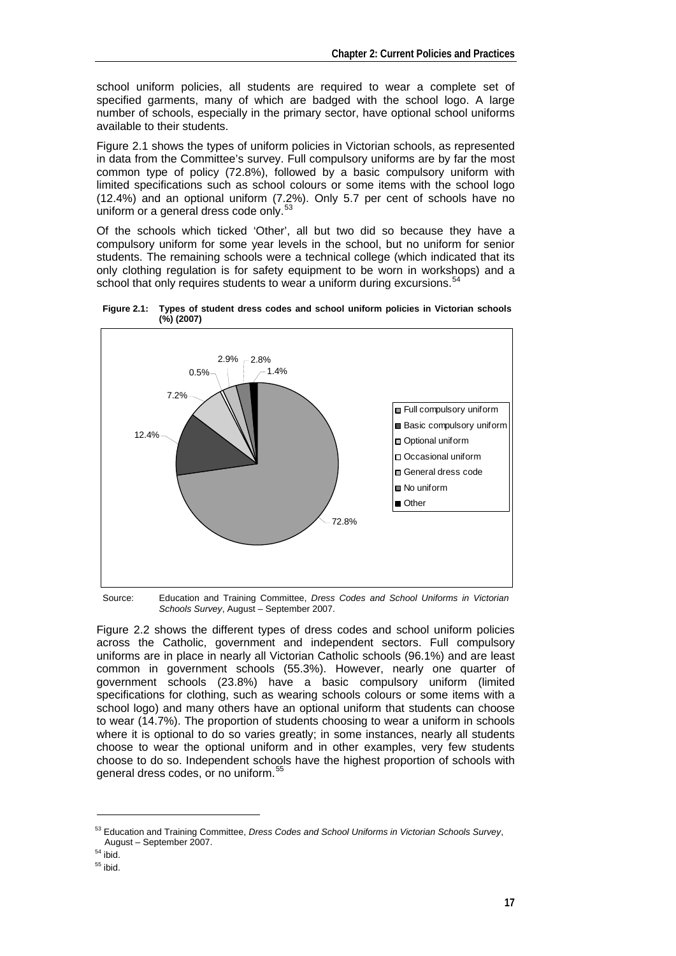school uniform policies, all students are required to wear a complete set of specified garments, many of which are badged with the school logo. A large number of schools, especially in the primary sector, have optional school uniforms available to their students.

Figure 2.1 shows the types of uniform policies in Victorian schools, as represented in data from the Committee's survey. Full compulsory uniforms are by far the most common type of policy (72.8%), followed by a basic compulsory uniform with limited specifications such as school colours or some items with the school logo (12.4%) and an optional uniform (7.2%). Only 5.7 per cent of schools have no uniform or a general dress code only.

Of the schools which ticked 'Other', all but two did so because they have a compulsory uniform for some year levels in the school, but no uniform for senior students. The remaining schools were a technical college (which indicated that its only clothing regulation is for safety equipment to be worn in workshops) and a school that only requires students to wear a uniform during excursions.  $54$ 



**Figure 2.1: Types of student dress codes and school uniform policies in Victorian schools (%) (2007)** 

Source: Education and Training Committee, *Dress Codes and School Uniforms in Victorian Schools Survey*, August – September 2007.

Figure 2.2 shows the different types of dress codes and school uniform policies across the Catholic, government and independent sectors. Full compulsory uniforms are in place in nearly all Victorian Catholic schools (96.1%) and are least common in government schools (55.3%). However, nearly one quarter of government schools (23.8%) have a basic compulsory uniform (limited specifications for clothing, such as wearing schools colours or some items with a school logo) and many others have an optional uniform that students can choose to wear (14.7%). The proportion of students choosing to wear a uniform in schools where it is optional to do so varies greatly; in some instances, nearly all students choose to wear the optional uniform and in other examples, very few students choose to do so. Independent schools have the highest proportion of schools with general dress codes, or no uniform.[55](#page-8-2)

<span id="page-8-0"></span><sup>53</sup> Education and Training Committee, *Dress Codes and School Uniforms in Victorian Schools Survey*, August – September 2007.<br> $54$  ibid.

<span id="page-8-1"></span>

<span id="page-8-2"></span> $55$  ibid.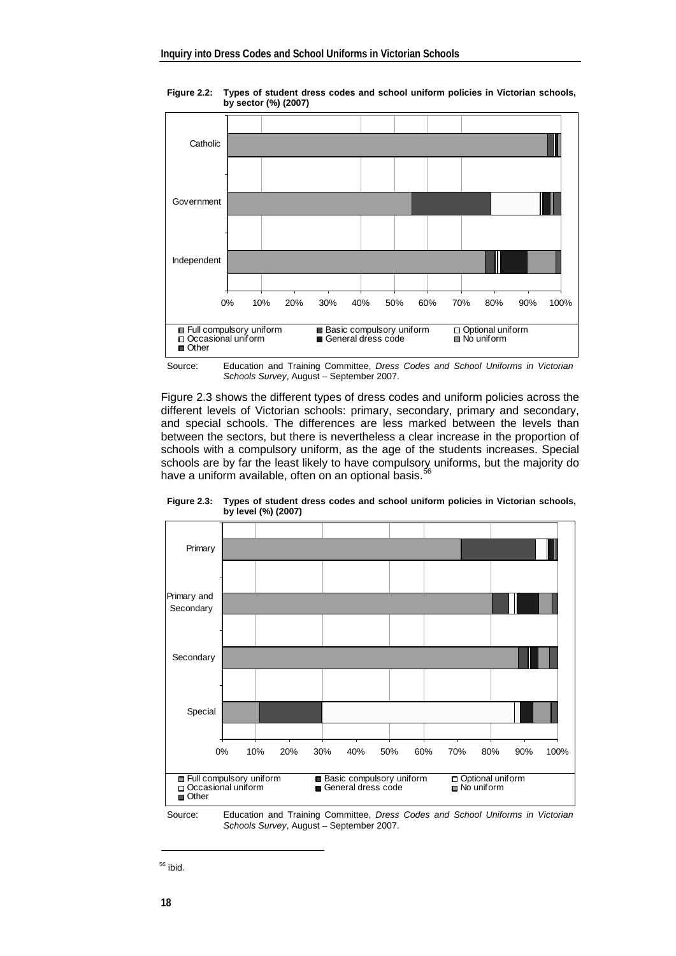

**Figure 2.2: Types of student dress codes and school uniform policies in Victorian schools, by sector (%) (2007)** 



Figure 2.3 shows the different types of dress codes and uniform policies across the different levels of Victorian schools: primary, secondary, primary and secondary, and special schools. The differences are less marked between the levels than between the sectors, but there is nevertheless a clear increase in the proportion of schools with a compulsory uniform, as the age of the students increases. Special schools are by far the least likely to have compulsory uniforms, but the majority do have a uniform available, often on an optional basis.<sup>[56](#page-9-0)</sup>



**Figure 2.3: Types of student dress codes and school uniform policies in Victorian schools, by level (%) (2007)** 

Source: Education and Training Committee, *Dress Codes and School Uniforms in Victorian Schools Survey*, August – September 2007.

<span id="page-9-0"></span> $56$  ibid.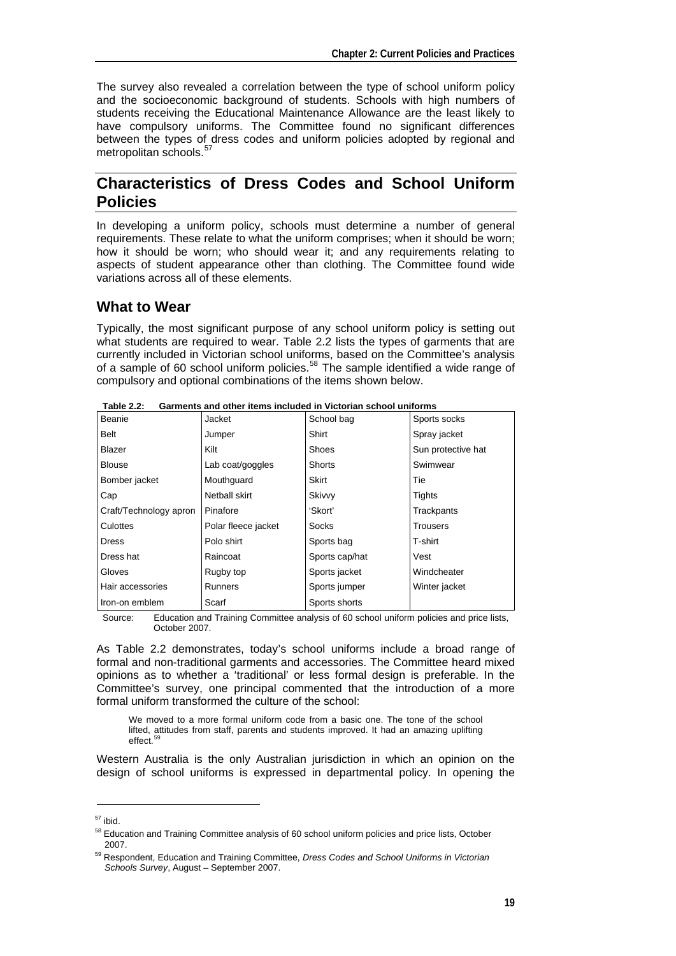The survey also revealed a correlation between the type of school uniform policy and the socioeconomic background of students. Schools with high numbers of students receiving the Educational Maintenance Allowance are the least likely to have compulsory uniforms. The Committee found no significant differences between the types of dress codes and uniform policies adopted by regional and metropolitan schools.<sup>[57](#page-10-0)</sup>

# **Characteristics of Dress Codes and School Uniform Policies**

In developing a uniform policy, schools must determine a number of general requirements. These relate to what the uniform comprises; when it should be worn; how it should be worn; who should wear it; and any requirements relating to aspects of student appearance other than clothing. The Committee found wide variations across all of these elements.

## **What to Wear**

Typically, the most significant purpose of any school uniform policy is setting out what students are required to wear. Table 2.2 lists the types of garments that are currently included in Victorian school uniforms, based on the Committee's analysis of a sample of 60 school uniform policies.<sup>[58](#page-10-1)</sup> The sample identified a wide range of compulsory and optional combinations of the items shown below.

| Beanie                 | Jacket              | School bag     | Sports socks       |
|------------------------|---------------------|----------------|--------------------|
| Belt                   | Jumper              | Shirt          | Spray jacket       |
| <b>Blazer</b>          | Kilt                | Shoes          | Sun protective hat |
| <b>Blouse</b>          | Lab coat/goggles    | Shorts         | Swimwear           |
| Bomber jacket          | Mouthguard          | Skirt          | Tie                |
| Cap                    | Netball skirt       | Skivvy         | Tights             |
| Craft/Technology apron | Pinafore            | 'Skort'        | Trackpants         |
| Culottes               | Polar fleece jacket | Socks          | <b>Trousers</b>    |
| <b>Dress</b>           | Polo shirt          | Sports bag     | T-shirt            |
| Dress hat              | Raincoat            | Sports cap/hat | Vest               |
| Gloves                 | Rugby top           | Sports jacket  | Windcheater        |
| Hair accessories       | <b>Runners</b>      | Sports jumper  | Winter jacket      |
| Iron-on emblem         | Scarf               | Sports shorts  |                    |

**Table 2.2: Garments and other items included in Victorian school uniforms** 

Source: Education and Training Committee analysis of 60 school uniform policies and price lists, October 2007.

As Table 2.2 demonstrates, today's school uniforms include a broad range of formal and non-traditional garments and accessories. The Committee heard mixed opinions as to whether a 'traditional' or less formal design is preferable. In the Committee's survey, one principal commented that the introduction of a more formal uniform transformed the culture of the school:

We moved to a more formal uniform code from a basic one. The tone of the school lifted, attitudes from staff, parents and students improved. It had an amazing uplifting effect.

Western Australia is the only Australian jurisdiction in which an opinion on the design of school uniforms is expressed in departmental policy. In opening the

<span id="page-10-0"></span> $57$  ibid.

<span id="page-10-1"></span><sup>&</sup>lt;sup>58</sup> Education and Training Committee analysis of 60 school uniform policies and price lists, October

<span id="page-10-2"></span><sup>2007. 59</sup> Respondent, Education and Training Committee, *Dress Codes and School Uniforms in Victorian Schools Survey*, August – September 2007.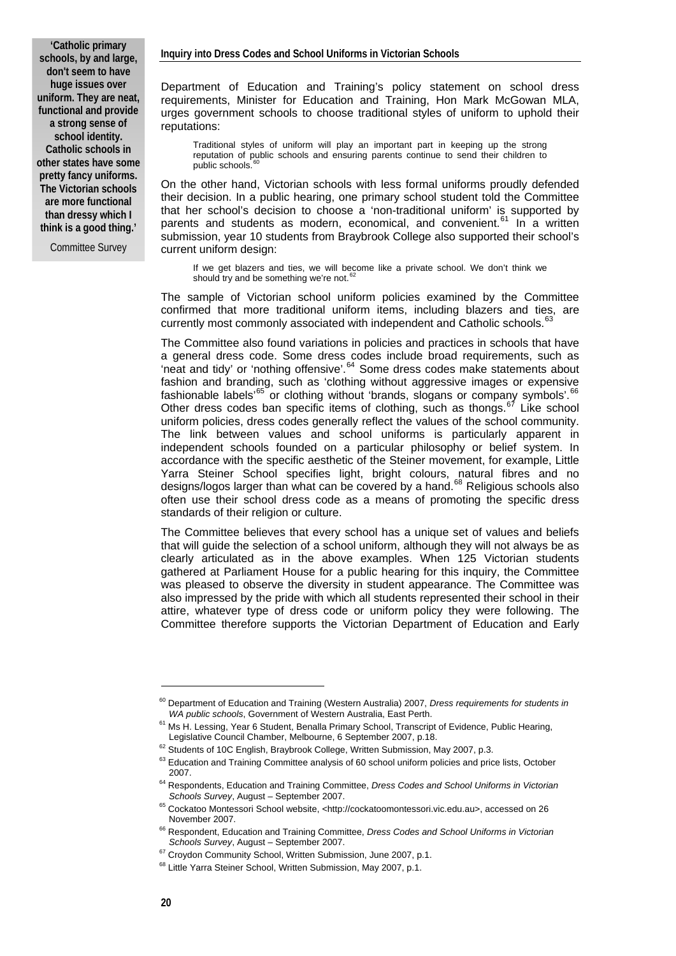**'Catholic primary schools, by and large, don't seem to have huge issues over uniform. They are neat, functional and provide a strong sense of school identity. Catholic schools in other states have some pretty fancy uniforms. The Victorian schools are more functional than dressy which I think is a good thing.'** 

Committee Survey

Department of Education and Training's policy statement on school dress requirements, Minister for Education and Training, Hon Mark McGowan MLA, urges government schools to choose traditional styles of uniform to uphold their reputations:

Traditional styles of uniform will play an important part in keeping up the strong reputation of public schools and ensuring parents continue to send their children to public schools.

On the other hand, Victorian schools with less formal uniforms proudly defended their decision. In a public hearing, one primary school student told the Committee that her school's decision to choose a 'non-traditional uniform' is supported by parents and students as modern, economical, and convenient.<sup>[61](#page-11-1)</sup> In a written submission, year 10 students from Braybrook College also supported their school's current uniform design:

If we get blazers and ties, we will become like a private school. We don't think we should try and be something we're not.

The sample of Victorian school uniform policies examined by the Committee confirmed that more traditional uniform items, including blazers and ties, are currently most commonly associated with independent and Catholic schools.<sup>[63](#page-11-3)</sup>

The Committee also found variations in policies and practices in schools that have a general dress code. Some dress codes include broad requirements, such as 'neat and tidy' or 'nothing offensive'.[64](#page-11-4) Some dress codes make statements about fashion and branding, such as 'clothing without aggressive images or expensive fashionable labels'<sup>[65](#page-11-5)</sup> or clothing without 'brands, slogans or company symbols'. Other dress codes ban specific items of clothing, such as thongs.<sup>[67](#page-11-7)</sup> Like school uniform policies, dress codes generally reflect the values of the school community. The link between values and school uniforms is particularly apparent in independent schools founded on a particular philosophy or belief system. In accordance with the specific aesthetic of the Steiner movement, for example, Little Yarra Steiner School specifies light, bright colours, natural fibres and no designs/logos larger than what can be covered by a hand.<sup>[68](#page-11-8)</sup> Religious schools also often use their school dress code as a means of promoting the specific dress standards of their religion or culture.

The Committee believes that every school has a unique set of values and beliefs that will guide the selection of a school uniform, although they will not always be as clearly articulated as in the above examples. When 125 Victorian students gathered at Parliament House for a public hearing for this inquiry, the Committee was pleased to observe the diversity in student appearance. The Committee was also impressed by the pride with which all students represented their school in their attire, whatever type of dress code or uniform policy they were following. The Committee therefore supports the Victorian Department of Education and Early

<span id="page-11-0"></span><sup>&</sup>lt;sup>60</sup> Department of Education and Training (Western Australia) 2007, *Dress requirements for students in WA public schools*, Government of Western Australia, East Perth.

<span id="page-11-1"></span><sup>&</sup>lt;sup>61</sup> Ms H. Lessing, Year 6 Student, Benalla Primary School, Transcript of Evidence, Public Hearing, Legislative Council Chamber, Melbourne, 6 September 2007, p.18.

<span id="page-11-2"></span><sup>&</sup>lt;sup>62</sup> Students of 10C English, Braybrook College, Written Submission, May 2007, p.3.

<span id="page-11-3"></span><sup>&</sup>lt;sup>63</sup> Education and Training Committee analysis of 60 school uniform policies and price lists, October

<sup>2007. 64</sup> Respondents, Education and Training Committee, *Dress Codes and School Uniforms in Victorian* 

<span id="page-11-4"></span>*Schools Survey*, August – September 2007.<br><sup>65</sup> Cockatoo Montessori School website, <http://cockatoomontessori.vic.edu.au>, accessed on 26

<span id="page-11-6"></span><span id="page-11-5"></span>November 2007.<br><sup>66</sup> Respondent, Education and Training Committee, *Dress Codes and School Uniforms in Victorian*<br>*Schools Survey*, August – September 2007.

<span id="page-11-8"></span><span id="page-11-7"></span><sup>&</sup>lt;sup>67</sup> Croydon Community School, Written Submission, June 2007, p.1.<br><sup>68</sup> Little Yarra Steiner School, Written Submission, May 2007, p.1.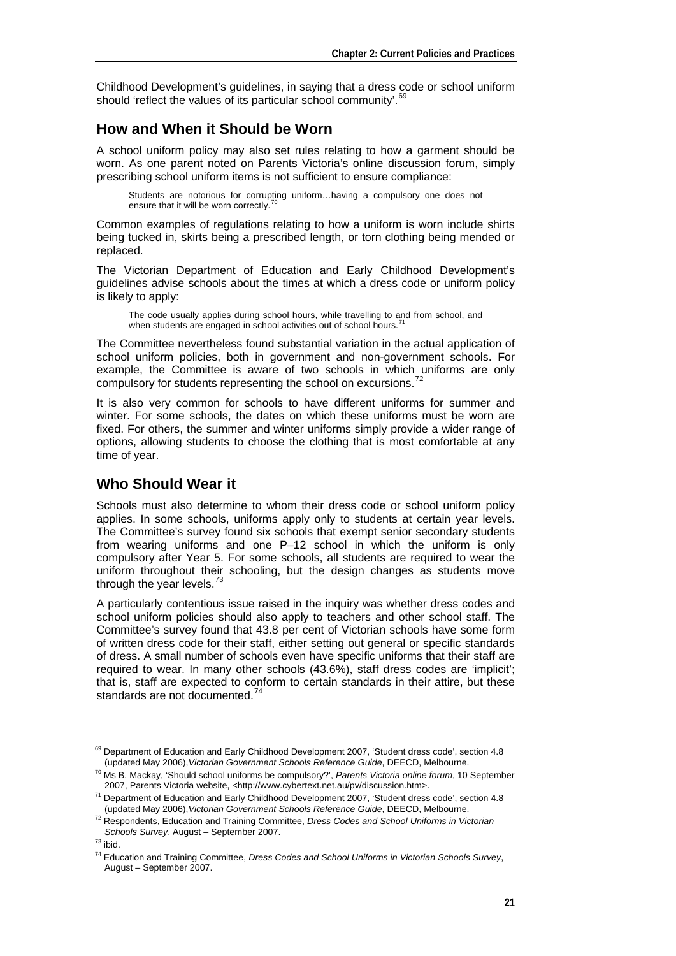Childhood Development's guidelines, in saying that a dress code or school uniform should 'reflect the values of its particular school community'.<sup>[69](#page-12-0)</sup>

# **How and When it Should be Worn**

A school uniform policy may also set rules relating to how a garment should be worn. As one parent noted on Parents Victoria's online discussion forum, simply prescribing school uniform items is not sufficient to ensure compliance:

Students are notorious for corrupting uniform…having a compulsory one does not ensure that it will be worn correctly.

Common examples of regulations relating to how a uniform is worn include shirts being tucked in, skirts being a prescribed length, or torn clothing being mended or replaced.

The Victorian Department of Education and Early Childhood Development's guidelines advise schools about the times at which a dress code or uniform policy is likely to apply:

The code usually applies during school hours, while travelling to and from school, and when students are engaged in school activities out of school hours.<sup>7</sup>

The Committee nevertheless found substantial variation in the actual application of school uniform policies, both in government and non-government schools. For example, the Committee is aware of two schools in which uniforms are only compulsory for students representing the school on excursions.<sup>7</sup>

It is also very common for schools to have different uniforms for summer and winter. For some schools, the dates on which these uniforms must be worn are fixed. For others, the summer and winter uniforms simply provide a wider range of options, allowing students to choose the clothing that is most comfortable at any time of year.

# **Who Should Wear it**

Schools must also determine to whom their dress code or school uniform policy applies. In some schools, uniforms apply only to students at certain year levels. The Committee's survey found six schools that exempt senior secondary students from wearing uniforms and one P–12 school in which the uniform is only compulsory after Year 5. For some schools, all students are required to wear the uniform throughout their schooling, but the design changes as students move through the year levels.  $73$ 

A particularly contentious issue raised in the inquiry was whether dress codes and school uniform policies should also apply to teachers and other school staff. The Committee's survey found that 43.8 per cent of Victorian schools have some form of written dress code for their staff, either setting out general or specific standards of dress. A small number of schools even have specific uniforms that their staff are required to wear. In many other schools (43.6%), staff dress codes are 'implicit'; that is, staff are expected to conform to certain standards in their attire, but these standards are not documented.<sup>[74](#page-12-5)</sup>

<span id="page-12-0"></span><sup>&</sup>lt;sup>69</sup> Department of Education and Early Childhood Development 2007, 'Student dress code', section 4.8<br>(updated May 2006). Victorian Government Schools Reference Guide. DEECD. Melbourne.

<span id="page-12-1"></span><sup>&</sup>lt;sup>70</sup> Ms B. Mackay, 'Should school uniforms be compulsory?', Parents Victoria online forum, 10 September

<sup>2007,</sup> Parents Victoria website, <http://www.cybertext.net.au/pv/discussion.htm>.<br><sup>71</sup> Department of Education and Early Childhood Development 2007, 'Student dress code', section 4.8

<span id="page-12-3"></span><span id="page-12-2"></span><sup>(</sup>updated May 2006),*Victorian Government Schools Reference Guide*, DEECD, Melbourne. 72 Respondents, Education and Training Committee, *Dress Codes and School Uniforms in Victorian Schools Survey*, August – September 2007. 73 ibid.

<span id="page-12-5"></span><span id="page-12-4"></span><sup>74</sup> Education and Training Committee, *Dress Codes and School Uniforms in Victorian Schools Survey*, August – September 2007.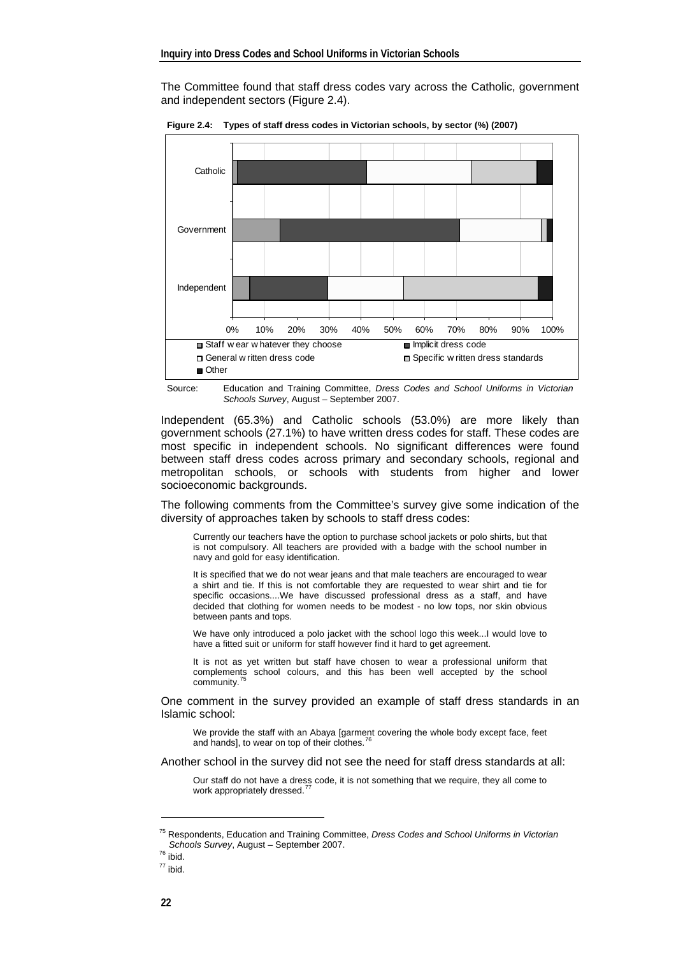The Committee found that staff dress codes vary across the Catholic, government and independent sectors (Figure 2.4).



**Figure 2.4: Types of staff dress codes in Victorian schools, by sector (%) (2007)** 

Source: Education and Training Committee, *Dress Codes and School Uniforms in Victorian Schools Survey*, August – September 2007.

Independent (65.3%) and Catholic schools (53.0%) are more likely than government schools (27.1%) to have written dress codes for staff. These codes are most specific in independent schools. No significant differences were found between staff dress codes across primary and secondary schools, regional and metropolitan schools, or schools with students from higher and lower socioeconomic backgrounds.

The following comments from the Committee's survey give some indication of the diversity of approaches taken by schools to staff dress codes:

Currently our teachers have the option to purchase school jackets or polo shirts, but that is not compulsory. All teachers are provided with a badge with the school number in navy and gold for easy identification.

It is specified that we do not wear jeans and that male teachers are encouraged to wear a shirt and tie. If this is not comfortable they are requested to wear shirt and tie for specific occasions....We have discussed professional dress as a staff, and have decided that clothing for women needs to be modest - no low tops, nor skin obvious between pants and tops.

We have only introduced a polo jacket with the school logo this week...I would love to have a fitted suit or uniform for staff however find it hard to get agreement.

It is not as yet written but staff have chosen to wear a professional uniform that complements school colours, and this has been well accepted by the school community.

One comment in the survey provided an example of staff dress standards in an Islamic school:

We provide the staff with an Abaya [garment covering the whole body except face, feet and hands], to wear on top of their clothes.<sup>7</sup>

Another school in the survey did not see the need for staff dress standards at all:

Our staff do not have a dress code, it is not something that we require, they all come to work appropriately dressed.

1

 $77$  ibid.

<span id="page-13-0"></span><sup>75</sup> Respondents, Education and Training Committee, *Dress Codes and School Uniforms in Victorian Schools Survey*, August – September 2007. 76 ibid.

<span id="page-13-2"></span><span id="page-13-1"></span>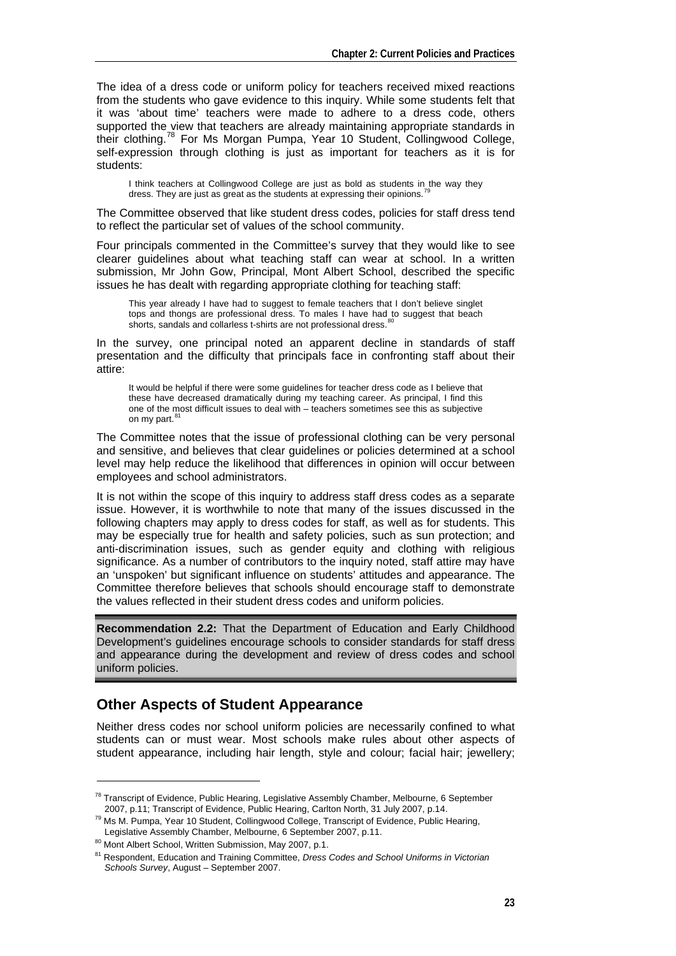The idea of a dress code or uniform policy for teachers received mixed reactions from the students who gave evidence to this inquiry. While some students felt that it was 'about time' teachers were made to adhere to a dress code, others supported the view that teachers are already maintaining appropriate standards in their clothing.[78](#page-14-0) For Ms Morgan Pumpa, Year 10 Student, Collingwood College, self-expression through clothing is just as important for teachers as it is for students:

I think teachers at Collingwood College are just as bold as students in the way they dress. They are just as great as the students at expressing their opinions.<sup>[79](#page-14-1)</sup>

The Committee observed that like student dress codes, policies for staff dress tend to reflect the particular set of values of the school community.

Four principals commented in the Committee's survey that they would like to see clearer guidelines about what teaching staff can wear at school. In a written submission, Mr John Gow, Principal, Mont Albert School, described the specific issues he has dealt with regarding appropriate clothing for teaching staff:

This year already I have had to suggest to female teachers that I don't believe singlet tops and thongs are professional dress. To males I have had to suggest that beach shorts, sandals and collarless t-shirts are not professional dress.

In the survey, one principal noted an apparent decline in standards of staff presentation and the difficulty that principals face in confronting staff about their attire:

It would be helpful if there were some guidelines for teacher dress code as I believe that these have decreased dramatically during my teaching career. As principal, I find this one of the most difficult issues to deal with – teachers sometimes see this as subjective on my part.<sup>[81](#page-14-3)</sup>

The Committee notes that the issue of professional clothing can be very personal and sensitive, and believes that clear guidelines or policies determined at a school level may help reduce the likelihood that differences in opinion will occur between employees and school administrators.

It is not within the scope of this inquiry to address staff dress codes as a separate issue. However, it is worthwhile to note that many of the issues discussed in the following chapters may apply to dress codes for staff, as well as for students. This may be especially true for health and safety policies, such as sun protection; and anti-discrimination issues, such as gender equity and clothing with religious significance. As a number of contributors to the inquiry noted, staff attire may have an 'unspoken' but significant influence on students' attitudes and appearance. The Committee therefore believes that schools should encourage staff to demonstrate the values reflected in their student dress codes and uniform policies.

**Recommendation 2.2:** That the Department of Education and Early Childhood Development's guidelines encourage schools to consider standards for staff dress and appearance during the development and review of dress codes and school uniform policies.

## **Other Aspects of Student Appearance**

Neither dress codes nor school uniform policies are necessarily confined to what students can or must wear. Most schools make rules about other aspects of student appearance, including hair length, style and colour; facial hair; jewellery;

<span id="page-14-0"></span><sup>&</sup>lt;sup>78</sup> Transcript of Evidence, Public Hearing, Legislative Assembly Chamber, Melbourne, 6 September

<span id="page-14-1"></span><sup>2007,</sup> p.11; Transcript of Evidence, Public Hearing, Carlton North, 31 July 2007, p.14.<br><sup>79</sup> Ms M. Pumpa, Year 10 Student, Collingwood College, Transcript of Evidence, Public Hearing,<br>Legislative Assembly Chamber, Melbourne

<span id="page-14-2"></span><sup>80</sup> Mont Albert School, Written Submission, May 2007, p.1.

<span id="page-14-3"></span><sup>81</sup> Respondent, Education and Training Committee, *Dress Codes and School Uniforms in Victorian Schools Survey*, August – September 2007.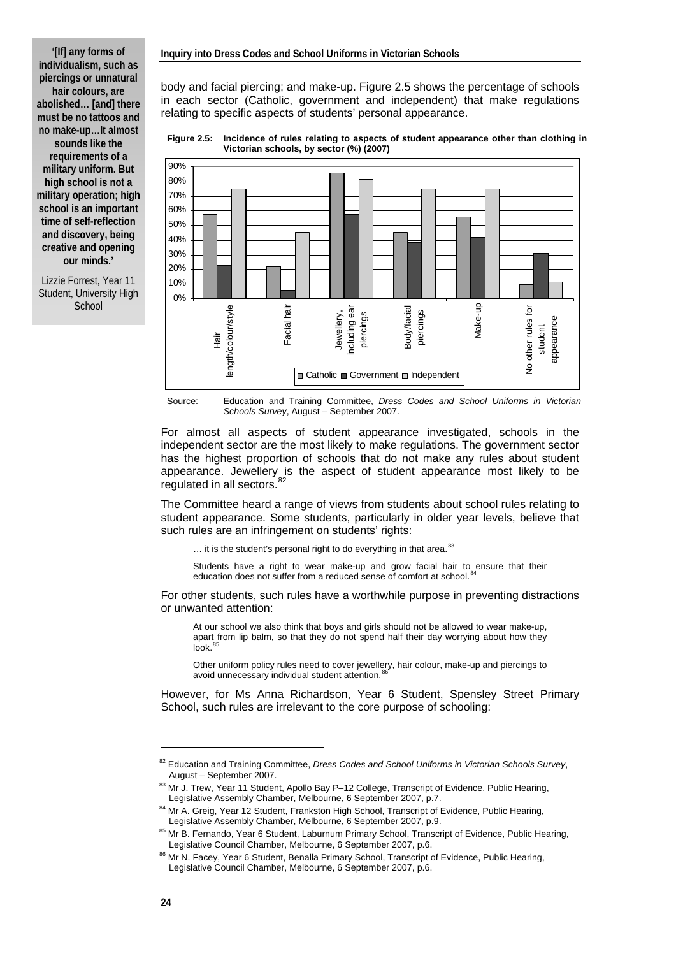**'[If] any forms of individualism, such as piercings or unnatural hair colours, are abolished… [and] there must be no tattoos and no make-up…It almost sounds like the requirements of a military uniform. But high school is not a military operation; high school is an important time of self-reflection and discovery, being creative and opening our minds.'** 

Lizzie Forrest, Year 11 Student, University High **School** 

body and facial piercing; and make-up. Figure 2.5 shows the percentage of schools in each sector (Catholic, government and independent) that make regulations relating to specific aspects of students' personal appearance.

**Figure 2.5: Incidence of rules relating to aspects of student appearance other than clothing in Victorian schools, by sector (%) (2007)** 



Source: Education and Training Committee, *Dress Codes and School Uniforms in Victorian Schools Survey*, August – September 2007.

For almost all aspects of student appearance investigated, schools in the independent sector are the most likely to make regulations. The government sector has the highest proportion of schools that do not make any rules about student appearance. Jewellery is the aspect of student appearance most likely to be regulated in all sectors.<sup>[82](#page-15-0)</sup>

The Committee heard a range of views from students about school rules relating to student appearance. Some students, particularly in older year levels, believe that such rules are an infringement on students' rights:

... it is the student's personal right to do everything in that area.<sup>[83](#page-15-1)</sup>

Students have a right to wear make-up and grow facial hair to ensure that their education does not suffer from a reduced sense of comfort at school.<sup>8</sup>

For other students, such rules have a worthwhile purpose in preventing distractions or unwanted attention:

At our school we also think that boys and girls should not be allowed to wear make-up, apart from lip balm, so that they do not spend half their day worrying about how they look.<sup>[85](#page-15-3)</sup>

Other uniform policy rules need to cover jewellery, hair colour, make-up and piercings to avoid unnecessary individual student attention.

However, for Ms Anna Richardson, Year 6 Student, Spensley Street Primary School, such rules are irrelevant to the core purpose of schooling:

<span id="page-15-0"></span><sup>&</sup>lt;sup>82</sup> Education and Training Committee, *Dress Codes and School Uniforms in Victorian Schools Survey*,<br>August – September 2007.

<span id="page-15-1"></span><sup>83</sup> Mr J. Trew, Year 11 Student, Apollo Bay P–12 College, Transcript of Evidence, Public Hearing, Legislative Assembly Chamber, Melbourne, 6 September 2007, p.7.<br><sup>84</sup> Mr A. Greig, Year 12 Student, Frankston High School, Transcript of Evidence, Public Hearing,

<span id="page-15-2"></span>

<span id="page-15-3"></span>Legislative Assembly Chamber, Melbourne, 6 September 2007, p.9.<br><sup>85</sup> Mr B. Fernando, Year 6 Student, Laburnum Primary School, Transcript of Evidence, Public Hearing,<br>Legislative Council Chamber, Melbourne, 6 September 2007

<span id="page-15-4"></span><sup>86</sup> Mr N. Facey, Year 6 Student, Benalla Primary School, Transcript of Evidence, Public Hearing, Legislative Council Chamber, Melbourne, 6 September 2007, p.6.